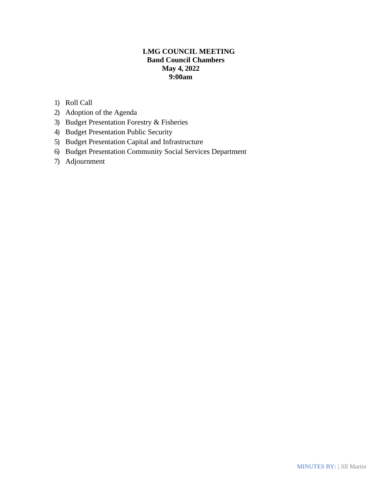# **LMG COUNCIL MEETING Band Council Chambers May 4, 2022 9:00am**

- 1) Roll Call
- 2) Adoption of the Agenda
- 3) Budget Presentation Forestry & Fisheries
- 4) Budget Presentation Public Security
- 5) Budget Presentation Capital and Infrastructure
- 6) Budget Presentation Community Social Services Department
- 7) Adjournment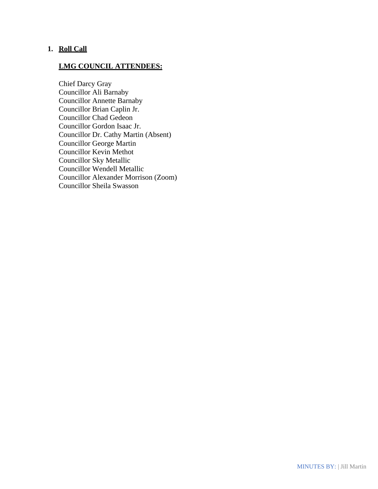## **1. Roll Call**

# **LMG COUNCIL ATTENDEES:**

Chief Darcy Gray Councillor Ali Barnaby Councillor Annette Barnaby Councillor Brian Caplin Jr. Councillor Chad Gedeon Councillor Gordon Isaac Jr. Councillor Dr. Cathy Martin (Absent) Councillor George Martin Councillor Kevin Methot Councillor Sky Metallic Councillor Wendell Metallic Councillor Alexander Morrison (Zoom) Councillor Sheila Swasson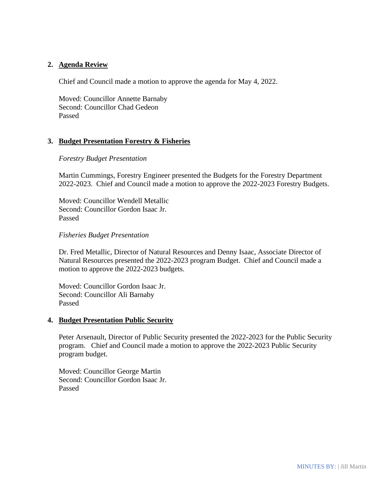## **2. Agenda Review**

Chief and Council made a motion to approve the agenda for May 4, 2022.

Moved: Councillor Annette Barnaby Second: Councillor Chad Gedeon Passed

# **3. Budget Presentation Forestry & Fisheries**

#### *Forestry Budget Presentation*

Martin Cummings, Forestry Engineer presented the Budgets for the Forestry Department 2022-2023. Chief and Council made a motion to approve the 2022-2023 Forestry Budgets.

Moved: Councillor Wendell Metallic Second: Councillor Gordon Isaac Jr. Passed

#### *Fisheries Budget Presentation*

Dr. Fred Metallic, Director of Natural Resources and Denny Isaac, Associate Director of Natural Resources presented the 2022-2023 program Budget. Chief and Council made a motion to approve the 2022-2023 budgets.

Moved: Councillor Gordon Isaac Jr. Second: Councillor Ali Barnaby Passed

#### **4. Budget Presentation Public Security**

Peter Arsenault, Director of Public Security presented the 2022-2023 for the Public Security program. Chief and Council made a motion to approve the 2022-2023 Public Security program budget.

Moved: Councillor George Martin Second: Councillor Gordon Isaac Jr. Passed